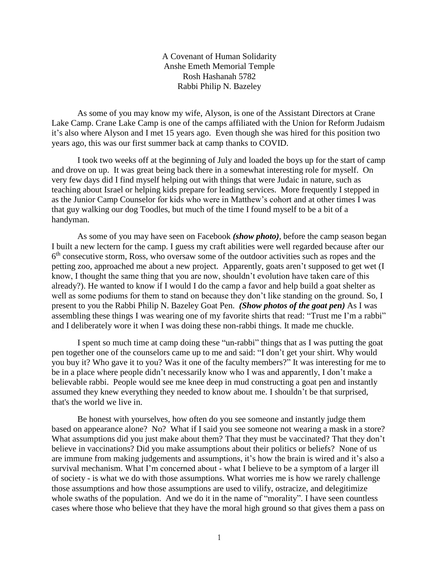A Covenant of Human Solidarity Anshe Emeth Memorial Temple Rosh Hashanah 5782 Rabbi Philip N. Bazeley

As some of you may know my wife, Alyson, is one of the Assistant Directors at Crane Lake Camp. Crane Lake Camp is one of the camps affiliated with the Union for Reform Judaism it's also where Alyson and I met 15 years ago. Even though she was hired for this position two years ago, this was our first summer back at camp thanks to COVID.

I took two weeks off at the beginning of July and loaded the boys up for the start of camp and drove on up. It was great being back there in a somewhat interesting role for myself. On very few days did I find myself helping out with things that were Judaic in nature, such as teaching about Israel or helping kids prepare for leading services. More frequently I stepped in as the Junior Camp Counselor for kids who were in Matthew's cohort and at other times I was that guy walking our dog Toodles, but much of the time I found myself to be a bit of a handyman.

As some of you may have seen on Facebook *(show photo)*, before the camp season began I built a new lectern for the camp. I guess my craft abilities were well regarded because after our 6<sup>th</sup> consecutive storm, Ross, who oversaw some of the outdoor activities such as ropes and the petting zoo, approached me about a new project. Apparently, goats aren't supposed to get wet (I know, I thought the same thing that you are now, shouldn't evolution have taken care of this already?). He wanted to know if I would I do the camp a favor and help build a goat shelter as well as some podiums for them to stand on because they don't like standing on the ground. So, I present to you the Rabbi Philip N. Bazeley Goat Pen. *(Show photos of the goat pen)* As I was assembling these things I was wearing one of my favorite shirts that read: "Trust me I'm a rabbi" and I deliberately wore it when I was doing these non-rabbi things. It made me chuckle.

I spent so much time at camp doing these "un-rabbi" things that as I was putting the goat pen together one of the counselors came up to me and said: "I don't get your shirt. Why would you buy it? Who gave it to you? Was it one of the faculty members?" It was interesting for me to be in a place where people didn't necessarily know who I was and apparently, I don't make a believable rabbi. People would see me knee deep in mud constructing a goat pen and instantly assumed they knew everything they needed to know about me. I shouldn't be that surprised, that's the world we live in.

Be honest with yourselves, how often do you see someone and instantly judge them based on appearance alone? No? What if I said you see someone not wearing a mask in a store? What assumptions did you just make about them? That they must be vaccinated? That they don't believe in vaccinations? Did you make assumptions about their politics or beliefs? None of us are immune from making judgements and assumptions, it's how the brain is wired and it's also a survival mechanism. What I'm concerned about - what I believe to be a symptom of a larger ill of society - is what we do with those assumptions. What worries me is how we rarely challenge those assumptions and how those assumptions are used to vilify, ostracize, and delegitimize whole swaths of the population. And we do it in the name of "morality". I have seen countless cases where those who believe that they have the moral high ground so that gives them a pass on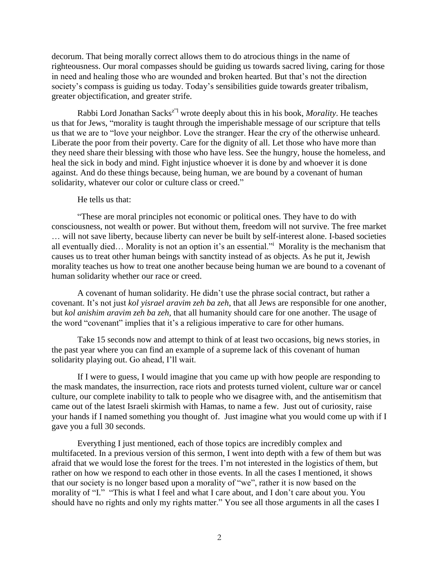decorum. That being morally correct allows them to do atrocious things in the name of righteousness. Our moral compasses should be guiding us towards sacred living, caring for those in need and healing those who are wounded and broken hearted. But that's not the direction society's compass is guiding us today. Today's sensibilities guide towards greater tribalism, greater objectification, and greater strife.

Rabbi Lord Jonathan Sacksz"l wrote deeply about this in his book, *Morality*. He teaches us that for Jews, "morality is taught through the imperishable message of our scripture that tells us that we are to "love your neighbor. Love the stranger. Hear the cry of the otherwise unheard. Liberate the poor from their poverty. Care for the dignity of all. Let those who have more than they need share their blessing with those who have less. See the hungry, house the homeless, and heal the sick in body and mind. Fight injustice whoever it is done by and whoever it is done against. And do these things because, being human, we are bound by a covenant of human solidarity, whatever our color or culture class or creed."

## He tells us that:

"These are moral principles not economic or political ones. They have to do with consciousness, not wealth or power. But without them, freedom will not survive. The free market … will not save liberty, because liberty can never be built by self-interest alone. I-based societies all eventually died… Morality is not an option it's an essential."<sup>i</sup> Morality is the mechanism that causes us to treat other human beings with sanctity instead of as objects. As he put it, Jewish morality teaches us how to treat one another because being human we are bound to a covenant of human solidarity whether our race or creed.

A covenant of human solidarity. He didn't use the phrase social contract, but rather a covenant. It's not just *kol yisrael aravim zeh ba zeh*, that all Jews are responsible for one another, but *kol anishim aravim zeh ba zeh,* that all humanity should care for one another. The usage of the word "covenant" implies that it's a religious imperative to care for other humans.

Take 15 seconds now and attempt to think of at least two occasions, big news stories, in the past year where you can find an example of a supreme lack of this covenant of human solidarity playing out. Go ahead, I'll wait.

If I were to guess, I would imagine that you came up with how people are responding to the mask mandates, the insurrection, race riots and protests turned violent, culture war or cancel culture, our complete inability to talk to people who we disagree with, and the antisemitism that came out of the latest Israeli skirmish with Hamas, to name a few. Just out of curiosity, raise your hands if I named something you thought of. Just imagine what you would come up with if I gave you a full 30 seconds.

Everything I just mentioned, each of those topics are incredibly complex and multifaceted. In a previous version of this sermon, I went into depth with a few of them but was afraid that we would lose the forest for the trees. I'm not interested in the logistics of them, but rather on how we respond to each other in those events. In all the cases I mentioned, it shows that our society is no longer based upon a morality of "we", rather it is now based on the morality of "I." "This is what I feel and what I care about, and I don't care about you. You should have no rights and only my rights matter." You see all those arguments in all the cases I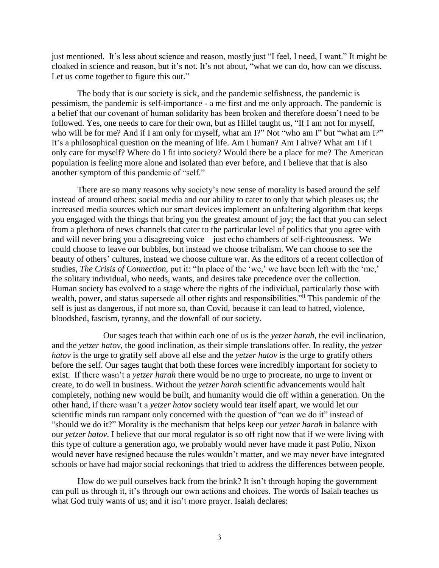just mentioned. It's less about science and reason, mostly just "I feel, I need, I want." It might be cloaked in science and reason, but it's not. It's not about, "what we can do, how can we discuss. Let us come together to figure this out."

The body that is our society is sick, and the pandemic selfishness, the pandemic is pessimism, the pandemic is self-importance - a me first and me only approach. The pandemic is a belief that our covenant of human solidarity has been broken and therefore doesn't need to be followed. Yes, one needs to care for their own, but as Hillel taught us, "If I am not for myself, who will be for me? And if I am only for myself, what am I?" Not "who am I" but "what am I?" It's a philosophical question on the meaning of life. Am I human? Am I alive? What am I if I only care for myself? Where do I fit into society? Would there be a place for me? The American population is feeling more alone and isolated than ever before, and I believe that that is also another symptom of this pandemic of "self."

There are so many reasons why society's new sense of morality is based around the self instead of around others: social media and our ability to cater to only that which pleases us; the increased media sources which our smart devices implement an unfaltering algorithm that keeps you engaged with the things that bring you the greatest amount of joy; the fact that you can select from a plethora of news channels that cater to the particular level of politics that you agree with and will never bring you a disagreeing voice – just echo chambers of self-righteousness. We could choose to leave our bubbles, but instead we choose tribalism. We can choose to see the beauty of others' cultures, instead we choose culture war. As the editors of a recent collection of studies, *The Crisis of Connection,* put it: "In place of the 'we,' we have been left with the 'me,' the solitary individual, who needs, wants, and desires take precedence over the collection. Human society has evolved to a stage where the rights of the individual, particularly those with wealth, power, and status supersede all other rights and responsibilities." This pandemic of the self is just as dangerous, if not more so, than Covid, because it can lead to hatred, violence, bloodshed, fascism, tyranny, and the downfall of our society.

Our sages teach that within each one of us is the *yetzer harah*, the evil inclination, and the *yetzer hatov*, the good inclination, as their simple translations offer. In reality, the *yetzer hatov* is the urge to gratify self above all else and the *yetzer hatov* is the urge to gratify others before the self. Our sages taught that both these forces were incredibly important for society to exist. If there wasn't a *yetzer harah* there would be no urge to procreate, no urge to invent or create, to do well in business. Without the *yetzer harah* scientific advancements would halt completely, nothing new would be built, and humanity would die off within a generation. On the other hand, if there wasn't a *yetzer hatov* society would tear itself apart, we would let our scientific minds run rampant only concerned with the question of "can we do it" instead of "should we do it?" Morality is the mechanism that helps keep our *yetzer harah* in balance with our *yetzer hatov*. I believe that our moral regulator is so off right now that if we were living with this type of culture a generation ago, we probably would never have made it past Polio, Nixon would never have resigned because the rules wouldn't matter, and we may never have integrated schools or have had major social reckonings that tried to address the differences between people.

How do we pull ourselves back from the brink? It isn't through hoping the government can pull us through it, it's through our own actions and choices. The words of Isaiah teaches us what God truly wants of us; and it isn't more prayer. Isaiah declares: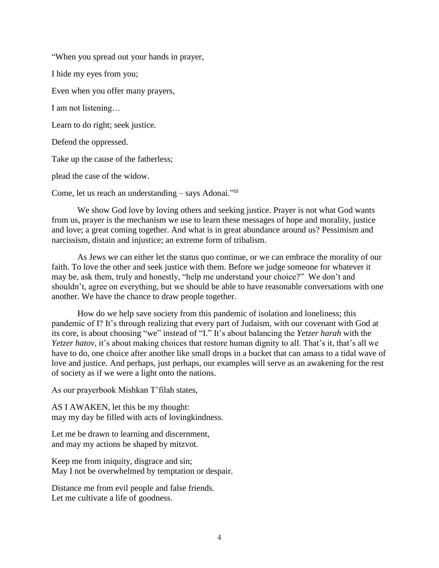"When you spread out your hands in prayer,

I hide my eyes from you;

Even when you offer many prayers,

I am not listening…

Learn to do right; seek justice.

Defend the oppressed.

Take up the cause of the fatherless;

plead the case of the widow.

Come, let us reach an understanding - says Adonai."iii

We show God love by loving others and seeking justice. Prayer is not what God wants from us, prayer is the mechanism we use to learn these messages of hope and morality, justice and love; a great coming together. And what is in great abundance around us? Pessimism and narcissism, distain and injustice; an extreme form of tribalism.

As Jews we can either let the status quo continue, or we can embrace the morality of our faith. To love the other and seek justice with them. Before we judge someone for whatever it may be, ask them, truly and honestly, "help me understand your choice?" We don't and shouldn't, agree on everything, but we should be able to have reasonable conversations with one another. We have the chance to draw people together.

How do we help save society from this pandemic of isolation and loneliness; this pandemic of I? It's through realizing that every part of Judaism, with our covenant with God at its core, is about choosing "we" instead of "I." It's about balancing the *Yetzer harah* with the *Yetzer hatov*, it's about making choices that restore human dignity to all. That's it, that's all we have to do, one choice after another like small drops in a bucket that can amass to a tidal wave of love and justice. And perhaps, just perhaps, our examples will serve as an awakening for the rest of society as if we were a light onto the nations.

As our prayerbook Mishkan T'filah states,

AS I AWAKEN, let this be my thought: may my day be filled with acts of lovingkindness.

Let me be drawn to learning and discernment, and may my actions be shaped by mitzvot.

Keep me from iniquity, disgrace and sin; May I not be overwhelmed by temptation or despair.

Distance me from evil people and false friends. Let me cultivate a life of goodness.